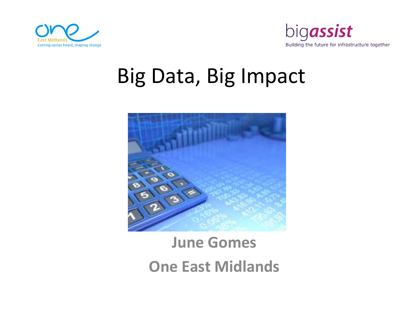



## Big Data, Big Impact



### June GomesOne East Midlands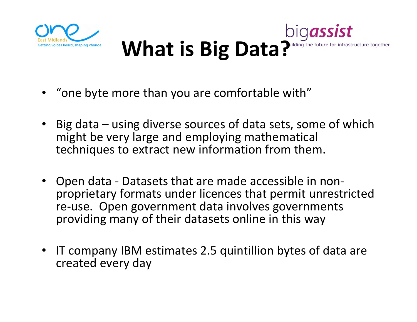

#### bigassist What is Big Data?ilding the future for infrastructure together

- •"one byte more than you are comfortable with"
- $\bullet$  Big data – using diverse sources of data sets, some of which might be very large and employing mathematical techniques to extract new information from them.
- $\bullet$  Open data - Datasets that are made accessible in non proprietary formats under licences that permit unrestricted re-use. Open government data involves governments providing many of their datasets online in this way
- • IT company IBM estimates 2.5 quintillion bytes of data are created every day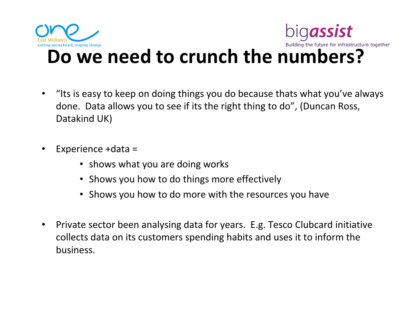

#### Building the future for infrastructure together Do we need to crunch the numbers?

bigassist

- $\bullet$  "Its is easy to keep on doing things you do because thats what you've always done. Data allows you to see if its the right thing to do", (Duncan Ross, Datakind UK)
- • Experience +data =
	- shows what you are doing works
	- Shows you how to do things more effectively
	- Shows you how to do more with the resources you have
- $\bullet$  Private sector been analysing data for years. E.g. Tesco Clubcard initiative collects data on its customers spending habits and uses it to inform the business.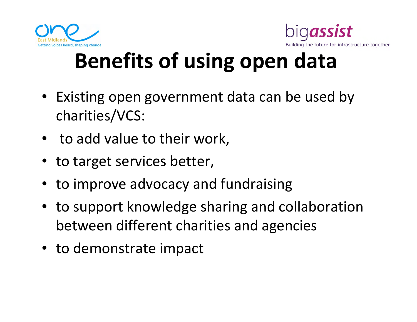



# Benefits of using open data

- Existing open government data can be used by charities/VCS:
- to add value to their work,
- to target services better,
- to improve advocacy and fundraising
- to support knowledge sharing and collaboration between different charities and agencies
- to demonstrate impact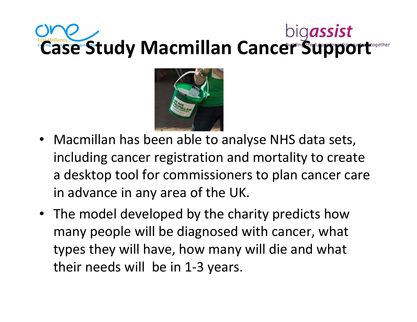# Case Study Macmillan Cancer Support



- Macmillan has been able to analyse NHS data sets, including cancer registration and mortality to create a desktop tool for commissioners to plan cancer care in advance in any area of the UK.
- The model developed by the charity predicts how many people will be diagnosed with cancer, what types they will have, how many will die and what their needs will be in 1-3 years.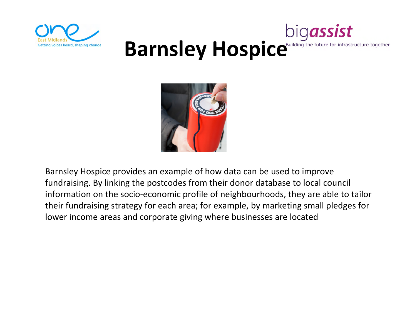

#### bigassist Barnsley Hospice<sup>Building the future for infrastructure together</sup>



Barnsley Hospice provides an example of how data can be used to improve fundraising. By linking the postcodes from their donor database to local council information on the socio-economic profile of neighbourhoods, they are able to tailor their fundraising strategy for each area; for example, by marketing small pledges for lower income areas and corporate giving where businesses are located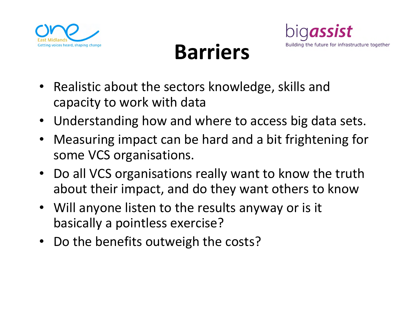

## Barriers



- Realistic about the sectors knowledge, skills and capacity to work with data
- Understanding how and where to access big data sets.
- Measuring impact can be hard and a bit frightening for some VCS organisations.
- Do all VCS organisations really want to know the truth about their impact, and do they want others to know
- Will anyone listen to the results anyway or is it basically a pointless exercise?
- Do the benefits outweigh the costs?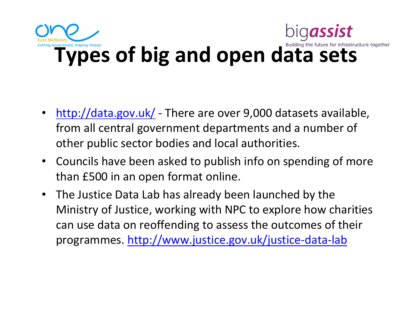

- $\bullet$ • http://data.gov.uk/ - There are over 9,000 datasets available, from all central government departments and a number of other public sector bodies and local authorities.
- Councils have been asked to publish info on spending of more than £500 in an open format online.
- The Justice Data Lab has already been launched by the Ministry of Justice, working with NPC to explore how charities can use data on reoffending to assess the outcomes of their programmes. http://www.justice.gov.uk/justice-data-lab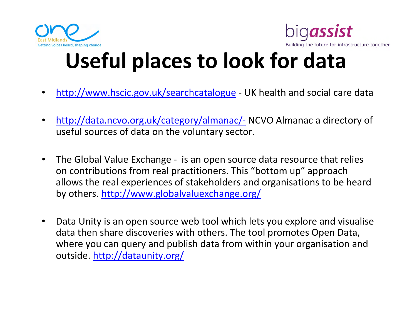



# Useful places to look for data

- •• http://www.hscic.gov.uk/searchcatalogue - UK health and social care data
- $\bullet$ http://data.ncvo.org.uk/category/almanac/- NCVO Almanac a directory of useful sources of data on the voluntary sector.
- $\bullet$  The Global Value Exchange - is an open source data resource that relies on contributions from real practitioners. This "bottom up" approach allows the real experiences of stakeholders and organisations to be heard by others. http://www.globalvaluexchange.org/
- $\bullet$  Data Unity is an open source web tool which lets you explore and visualise data then share discoveries with others. The tool promotes Open Data, where you can query and publish data from within your organisation and outside. http://dataunity.org/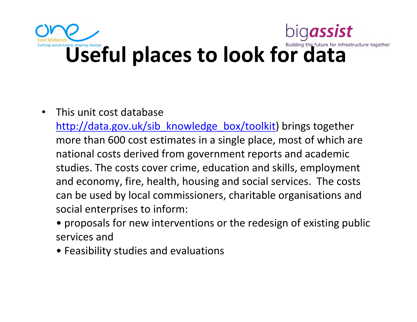# bigassist Cetting voices heard, shaping change  $\mathbf U$ Seful places to look for data

#### $\bullet$ This unit cost database

http://data.gov.uk/sib\_knowledge\_box/toolkit) brings together more than 600 cost estimates in a single place, most of which are national costs derived from government reports and academic studies. The costs cover crime, education and skills, employmentand economy, fire, health, housing and social services. The costs can be used by local commissioners, charitable organisations andsocial enterprises to inform:

- proposals for new interventions or the redesign of existing public services and
- Feasibility studies and evaluations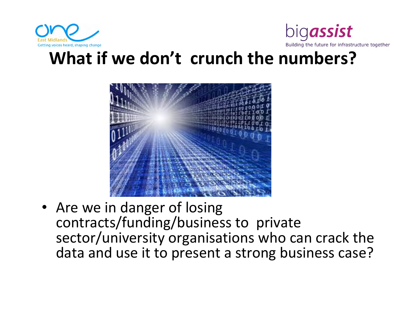



#### What if we don't crunch the numbers?



• Are we in danger of losing contracts/funding/business to private sector/university organisations who can crack the data and use it to present a strong business case?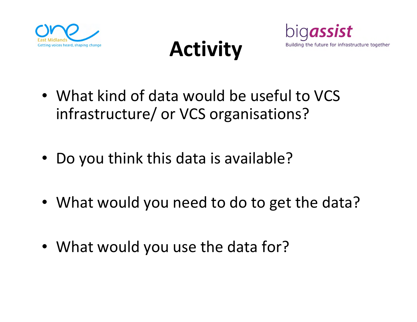





- What kind of data would be useful to VCS infrastructure/ or VCS organisations?
- $\bullet$ Do you think this data is available?
- What would you need to do to get the data?
- What would you use the data for?